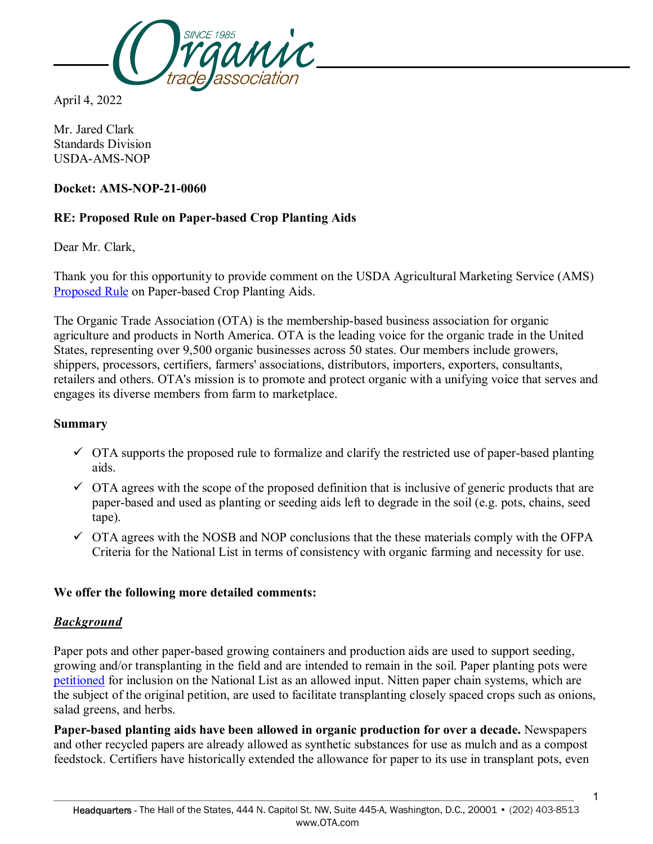

April 4, 2022

Mr. Jared Clark Standards Division USDA-AMS-NOP

### **Docket: AMS-NOP-21-0060**

### **RE: Proposed Rule on Paper-based Crop Planting Aids**

Dear Mr. Clark,

Thank you for this opportunity to provide comment on the USDA Agricultural Marketing Service (AMS) [Proposed Rule](https://www.regulations.gov/document/AMS-NOP-21-0060-0001) on Paper-based Crop Planting Aids.

The Organic Trade Association (OTA) is the membership-based business association for organic agriculture and products in North America. OTA is the leading voice for the organic trade in the United States, representing over 9,500 organic businesses across 50 states. Our members include growers, shippers, processors, certifiers, farmers' associations, distributors, importers, exporters, consultants, retailers and others. OTA's mission is to promote and protect organic with a unifying voice that serves and engages its diverse members from farm to marketplace.

#### **Summary**

- $\checkmark$  OTA supports the proposed rule to formalize and clarify the restricted use of paper-based planting aids.
- $\checkmark$  OTA agrees with the scope of the proposed definition that is inclusive of generic products that are paper-based and used as planting or seeding aids left to degrade in the soil (e.g. pots, chains, seed tape).
- $\checkmark$  OTA agrees with the NOSB and NOP conclusions that the these materials comply with the OFPA Criteria for the National List in terms of consistency with organic farming and necessity for use.

### **We offer the following more detailed comments:**

#### *Background*

Paper pots and other paper-based growing containers and production aids are used to support seeding, growing and/or transplanting in the field and are intended to remain in the soil. Paper planting pots were [petitioned](https://www.ams.usda.gov/sites/default/files/media/PaperPotorContainerPetition080718.pdf) for inclusion on the National List as an allowed input. Nitten paper chain systems, which are the subject of the original petition, are used to facilitate transplanting closely spaced crops such as onions, salad greens, and herbs.

**Paper-based planting aids have been allowed in organic production for over a decade.** Newspapers and other recycled papers are already allowed as synthetic substances for use as mulch and as a compost feedstock. Certifiers have historically extended the allowance for paper to its use in transplant pots, even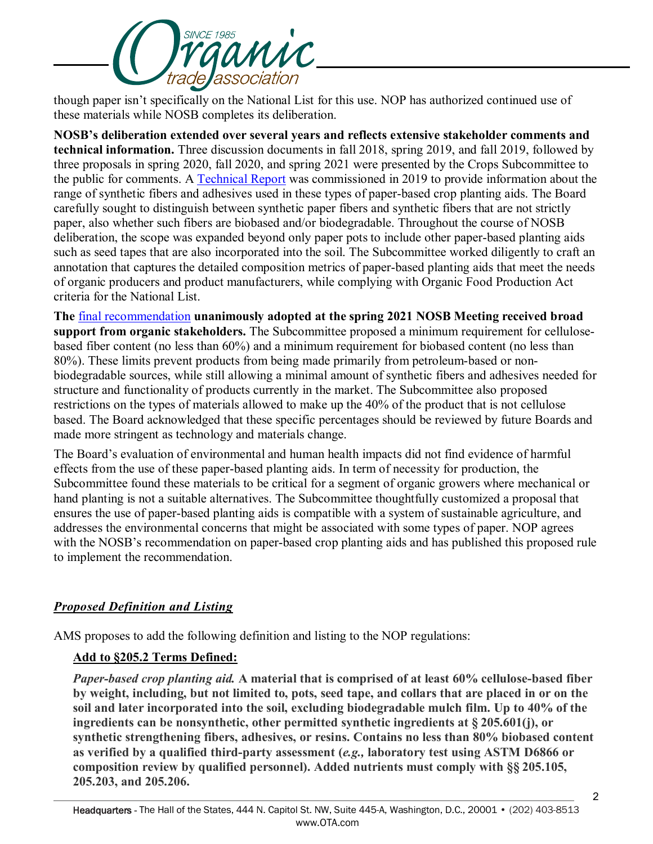

though paper isn't specifically on the National List for this use. NOP has authorized continued use of these materials while NOSB completes its deliberation.

**NOSB's deliberation extended over several years and reflects extensive stakeholder comments and technical information.** Three discussion documents in fall 2018, spring 2019, and fall 2019, followed by three proposals in spring 2020, fall 2020, and spring 2021 were presented by the Crops Subcommittee to the public for comments. A [Technical Report](https://www.ams.usda.gov/sites/default/files/media/PaperTRFinal7262019.pdf) was commissioned in 2019 to provide information about the range of synthetic fibers and adhesives used in these types of paper-based crop planting aids. The Board carefully sought to distinguish between synthetic paper fibers and synthetic fibers that are not strictly paper, also whether such fibers are biobased and/or biodegradable. Throughout the course of NOSB deliberation, the scope was expanded beyond only paper pots to include other paper-based planting aids such as seed tapes that are also incorporated into the soil. The Subcommittee worked diligently to craft an annotation that captures the detailed composition metrics of paper-based planting aids that meet the needs of organic producers and product manufacturers, while complying with Organic Food Production Act criteria for the National List.

**The** [final recommendation](https://www.ams.usda.gov/sites/default/files/media/CSPaperBasedCropPlantingAids_FinalRec.pdf) **unanimously adopted at the spring 2021 NOSB Meeting received broad support from organic stakeholders.** The Subcommittee proposed a minimum requirement for cellulosebased fiber content (no less than 60%) and a minimum requirement for biobased content (no less than 80%). These limits prevent products from being made primarily from petroleum-based or nonbiodegradable sources, while still allowing a minimal amount of synthetic fibers and adhesives needed for structure and functionality of products currently in the market. The Subcommittee also proposed restrictions on the types of materials allowed to make up the 40% of the product that is not cellulose based. The Board acknowledged that these specific percentages should be reviewed by future Boards and made more stringent as technology and materials change.

The Board's evaluation of environmental and human health impacts did not find evidence of harmful effects from the use of these paper-based planting aids. In term of necessity for production, the Subcommittee found these materials to be critical for a segment of organic growers where mechanical or hand planting is not a suitable alternatives. The Subcommittee thoughtfully customized a proposal that ensures the use of paper-based planting aids is compatible with a system of sustainable agriculture, and addresses the environmental concerns that might be associated with some types of paper. NOP agrees with the NOSB's recommendation on paper-based crop planting aids and has published this proposed rule to implement the recommendation.

# *Proposed Definition and Listing*

AMS proposes to add the following definition and listing to the NOP regulations:

### **Add to §205.2 Terms Defined:**

*Paper-based crop planting aid.* **A material that is comprised of at least 60% cellulose-based fiber by weight, including, but not limited to, pots, seed tape, and collars that are placed in or on the soil and later incorporated into the soil, excluding biodegradable mulch film. Up to 40% of the ingredients can be nonsynthetic, other permitted synthetic ingredients at § 205.601(j), or synthetic strengthening fibers, adhesives, or resins. Contains no less than 80% biobased content as verified by a qualified third-party assessment (***e.g.,* **laboratory test using ASTM D6866 or composition review by qualified personnel). Added nutrients must comply with §§ 205.105, 205.203, and 205.206.**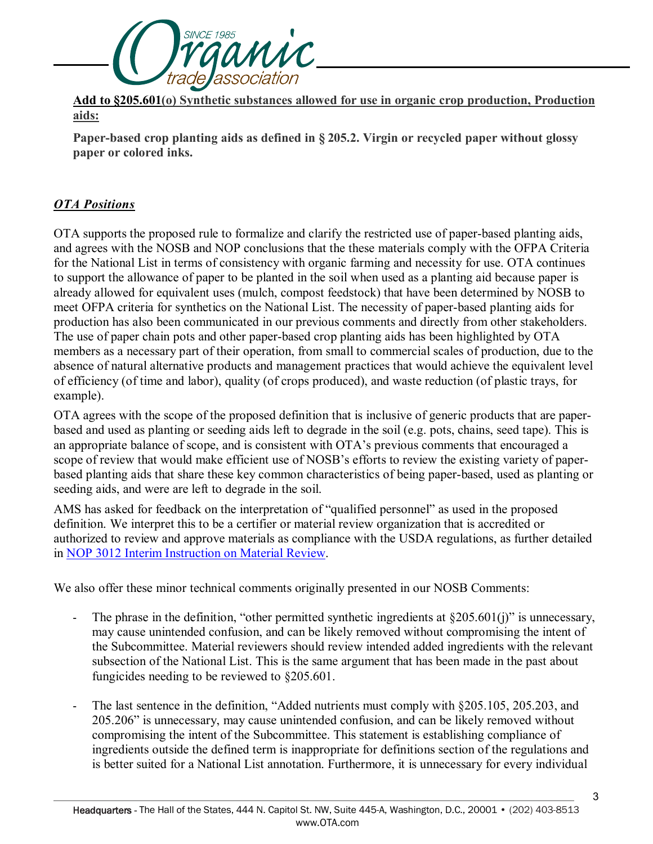

**Add to §205.601(o) Synthetic substances allowed for use in organic crop production, Production aids:**

**Paper-based crop planting aids as defined in § 205.2. Virgin or recycled paper without glossy paper or colored inks.**

## *OTA Positions*

OTA supports the proposed rule to formalize and clarify the restricted use of paper-based planting aids, and agrees with the NOSB and NOP conclusions that the these materials comply with the OFPA Criteria for the National List in terms of consistency with organic farming and necessity for use. OTA continues to support the allowance of paper to be planted in the soil when used as a planting aid because paper is already allowed for equivalent uses (mulch, compost feedstock) that have been determined by NOSB to meet OFPA criteria for synthetics on the National List. The necessity of paper-based planting aids for production has also been communicated in our previous comments and directly from other stakeholders. The use of paper chain pots and other paper-based crop planting aids has been highlighted by OTA members as a necessary part of their operation, from small to commercial scales of production, due to the absence of natural alternative products and management practices that would achieve the equivalent level of efficiency (of time and labor), quality (of crops produced), and waste reduction (of plastic trays, for example).

OTA agrees with the scope of the proposed definition that is inclusive of generic products that are paperbased and used as planting or seeding aids left to degrade in the soil (e.g. pots, chains, seed tape). This is an appropriate balance of scope, and is consistent with OTA's previous comments that encouraged a scope of review that would make efficient use of NOSB's efforts to review the existing variety of paperbased planting aids that share these key common characteristics of being paper-based, used as planting or seeding aids, and were are left to degrade in the soil.

AMS has asked for feedback on the interpretation of "qualified personnel" as used in the proposed definition. We interpret this to be a certifier or material review organization that is accredited or authorized to review and approve materials as compliance with the USDA regulations, as further detailed in [NOP 3012 Interim Instruction on Material Review.](https://www.ams.usda.gov/sites/default/files/media/NOP%203012%20Material%20Review.pdf)

We also offer these minor technical comments originally presented in our NOSB Comments:

- The phrase in the definition, "other permitted synthetic ingredients at  $\S 205.601(i)$ " is unnecessary, may cause unintended confusion, and can be likely removed without compromising the intent of the Subcommittee. Material reviewers should review intended added ingredients with the relevant subsection of the National List. This is the same argument that has been made in the past about fungicides needing to be reviewed to §205.601.
- The last sentence in the definition, "Added nutrients must comply with §205.105, 205.203, and 205.206" is unnecessary, may cause unintended confusion, and can be likely removed without compromising the intent of the Subcommittee. This statement is establishing compliance of ingredients outside the defined term is inappropriate for definitions section of the regulations and is better suited for a National List annotation. Furthermore, it is unnecessary for every individual